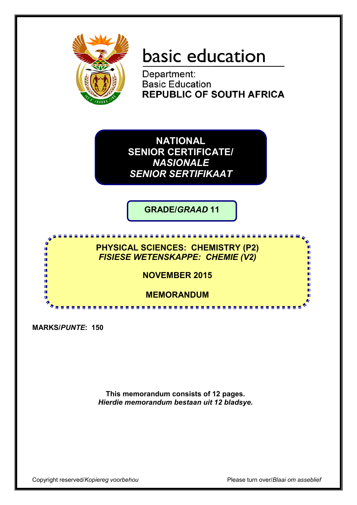

# basic education

Department: **Basic Education REPUBLIC OF SOUTH AFRICA** 

**NATIONAL SENIOR CERTIFICATE/** *NASIONALE SENIOR SERTIFIKAAT*

**GRADE/***GRAAD* **11**

<u>...................</u>

**PHYSICAL SCIENCES: CHEMISTRY (P2)** *FISIESE WETENSKAPPE: CHEMIE (V2)*

**NOVEMBER 2015**

**MEMORANDUM**

**MARKS/***PUNTE***: 150**

庫 m m m 'n т

> **This memorandum consists of 12 pages.** *Hierdie memorandum bestaan uit 12 bladsye.*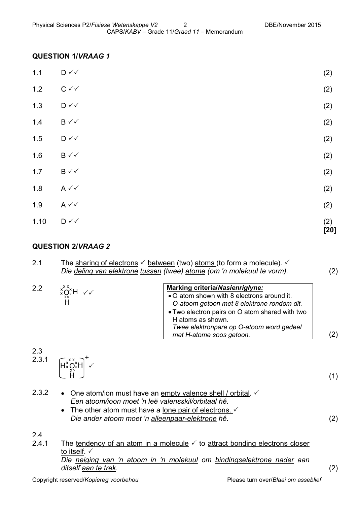### **QUESTION 1/***VRAAG 1*

| 1.10  | $\mathsf{D} \curvearrowleft$     | (2)<br>$[20]$ |
|-------|----------------------------------|---------------|
| 1.9   | $A \vee C$                       | (2)           |
| 1.8   | $A \vee C$                       | (2)           |
| $1.7$ | $B \vee \vee$                    | (2)           |
| 1.6   | $B \vee\checkmark$               | (2)           |
| 1.5   | $\mathsf{D} \curvearrowleft$     | (2)           |
| 1.4   | $\mathsf{B}\mathbin{\checkmark}$ | (2)           |
| 1.3   | $\mathsf{D} \curvearrowleft$     | (2)           |
| 1.2   | $C \vee C$                       | (2)           |
| $1.1$ | $\mathsf{D} \curvearrowleft$     | (2)           |

## **QUESTION 2/***VRAAG 2*

| 2.1          | The sharing of electrons $\checkmark$ between (two) atoms (to form a molecule). $\checkmark$<br>Die deling van elektrone tussen (twee) atome (om 'n molekuul te vorm).                                                                                                                                       | (2) |
|--------------|--------------------------------------------------------------------------------------------------------------------------------------------------------------------------------------------------------------------------------------------------------------------------------------------------------------|-----|
| 2.2          | Marking criteria/Nasienriglyne:<br>$x_{x_0}^{x x}$ H $\checkmark$<br>• O atom shown with 8 electrons around it.<br>O-atoom getoon met 8 elektrone rondom dit.<br>• Two electron pairs on O atom shared with two<br>H atoms as shown.<br>Twee elektronpare op O-atoom word gedeel<br>met H-atome soos getoon. | (2) |
| 2.3<br>2.3.1 | $\left[\begin{matrix} H_{x}^{XX} \\ H_{y}^{XX} \\ H_{z}^{XX} \end{matrix}\right]^{+} \sim$                                                                                                                                                                                                                   | (1) |
| 2.3.2        | • One atom/ion must have an empty valence shell / orbital. $\checkmark$<br>Een atoom/ioon moet 'n leë valensskil/orbitaal hê.<br>The other atom must have a lone pair of electrons. $\checkmark$<br>Die ander atoom moet 'n alleenpaar-elektrone hê.                                                         | (2) |
| 2.4          |                                                                                                                                                                                                                                                                                                              |     |

2.4.1 The tendency of an atom in a molecule  $\checkmark$  to attract bonding electrons closer to itself.  $\checkmark$ *Die neiging van 'n atoom in 'n molekuul om bindingselektrone nader aan ditself aan te trek.* (2)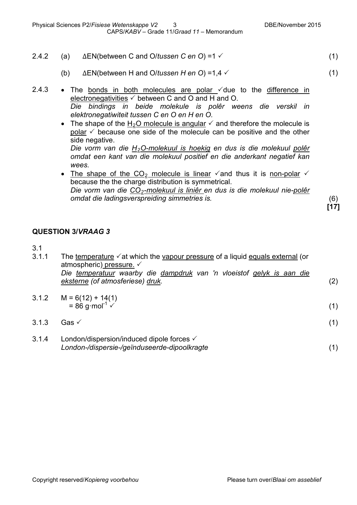- 2.4.2 (a) ΔEN(between C and O/*tussen C en O*) =1 (1)
	- (b) ΔEN(between H and O/*tussen H en O*) =1,4 (1)
- 2.4.3 The bonds in both molecules are polar  $\checkmark$  due to the difference in electronegativities  $\checkmark$  between C and O and H and O. *Die bindings in beide molekule is polêr weens die verskil in elektronegatiwiteit tussen C en O en H en O.*
	- The shape of the H<sub>2</sub>O molecule is angular  $\checkmark$  and therefore the molecule is polar  $\checkmark$  because one side of the molecule can be positive and the other side negative.

*Die vorm van die H2O-molekuul is hoekig en dus is die molekuul polêr omdat een kant van die molekuul positief en die anderkant negatief kan wees.*

• The shape of the CO<sub>2</sub> molecule is linear  $\checkmark$  and thus it is non-polar  $\checkmark$ because the the charge distribution is symmetrical. *Die vorm van die CO2-molekuul is liniêr en dus is die molekuul nie-polêr omdat die ladingsverspreiding simmetries is.* (6)

**[17]**

### **QUESTION 3/***VRAAG 3*

| ×<br>I  | ۰. |
|---------|----|
| ×<br>۰. |    |

| 3.1.1<br>The temperature $\checkmark$ at which the vapour pressure of a liquid equals external (or |                                                                       |     |  |
|----------------------------------------------------------------------------------------------------|-----------------------------------------------------------------------|-----|--|
|                                                                                                    | atmospheric) pressure. $\checkmark$                                   |     |  |
|                                                                                                    | Die temperatuur waarby die dampdruk van 'n vloeistof gelyk is aan die |     |  |
|                                                                                                    | eksterne (of atmosferiese) druk.                                      | (2) |  |
|                                                                                                    |                                                                       |     |  |

- 3.1.2  $M = 6(12) + 14(1)$  $= 86 \text{ q mol}^{-1}$  (1)
- $3.1.3$  Gas  $\checkmark$  (1)
- 3.1.4 London/dispersion/induced dipole forces *London-/dispersie-/geïnduseerde-dipoolkragte* (1)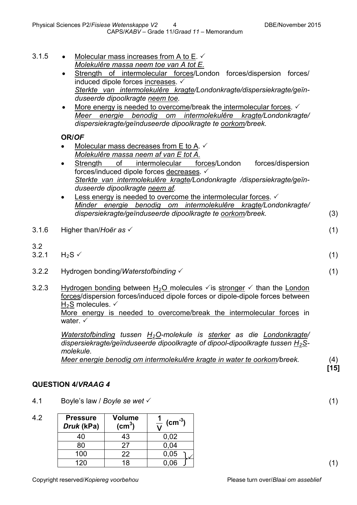- 3.1.5 Molecular mass increases from A to E.  $\checkmark$ *Molekulêre massa neem toe van A tot E.*
	- Strength of intermolecular forces/London forces/dispersion forces/ induced dipole forces increases. *Sterkte van intermolekulêre kragte/Londonkragte/dispersiekragte/geïnduseerde dipoolkragte neem toe.*
	- More energy is needed to overcome/break the intermolecular forces.  $\checkmark$ *Meer energie benodig om intermolekulêre kragte/Londonkragte/ dispersiekragte/geïnduseerde dipoolkragte te oorkom/breek.*

### **OR/***OF*

- Molecular mass decreases from E to A.  $\checkmark$ *Molekulêre massa neem af van E tot A.*
- Strength of intermolecular forces/London forces/dispersion forces/induced dipole forces decreases.  $\checkmark$ *Sterkte van intermolekulêre kragte/Londonkragte /dispersiekragte/geïnduseerde dipoolkragte neem af.*
- Less energy is needed to overcome the intermolecular forces.  $\checkmark$ *Minder energie benodig om intermolekulêre kragte/Londonkragte/ dispersiekragte/geïnduseerde dipoolkragte te oorkom/breek.* (3)
- 3.1.6 Higher than/*Hoër as* (1)
- $3.2$ <br> $3.2.1$  $3.2.1$  H<sub>2</sub>S  $\checkmark$  (1)
- 3.2.2 Hydrogen bonding/*Waterstofbinding*  (1)
- 3.2.3 Hydrogen bonding between H<sub>2</sub>O molecules  $\checkmark$  is stronger  $\checkmark$  than the London forces/dispersion forces/induced dipole forces or dipole-dipole forces between  $H_2S$  molecules.  $\checkmark$ More energy is needed to overcome/break the intermolecular forces in water  $\checkmark$

*Waterstofbinding tussen H2O-molekule is sterker as die Londonkragte/ dispersiekragte/geïnduseerde dipoolkragte of dipool-dipoolkragte tussen H2Smolekule.*

*Meer energie benodig om intermolekulêre kragte in water te oorkom/breek.* (4)

**[15]**

## **QUESTION 4/***VRAAG 4*

4.1 Boyle's law / *Boyle se wet* (1)

| 4.2 | <b>Pressure</b><br>Druk (kPa) | <b>Volume</b><br>(cm <sup>3</sup> ) | $\rm \left( cm^{-3}\right)$ |
|-----|-------------------------------|-------------------------------------|-----------------------------|
|     | 40                            | 43                                  | 0,02                        |
|     | 80                            | 27                                  | 0,04                        |
|     | 100                           | 22                                  | 0,05                        |
|     | 120                           | 18                                  | . റ6                        |

(1)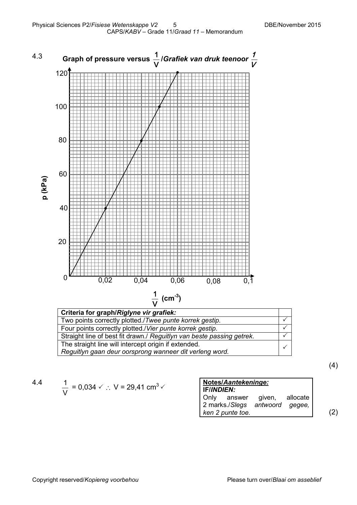

*Reguitlyn gaan deur oorsprong wanneer dit verleng word.*

(4)

$$
4.4\phantom{0}
$$

$$
\frac{1}{V} = 0.034 \, \times \, \therefore \, V = 29.41 \, \text{cm}^3 \, \times
$$

| Notes/Aantekeninge:            |          |     |
|--------------------------------|----------|-----|
| <b>IF/INDIEN:</b>              |          |     |
| Only answer given,             | allocate |     |
| 2 marks./Slegs antwoord gegee, |          |     |
| ken 2 punte toe.               |          | (2) |

 $\checkmark$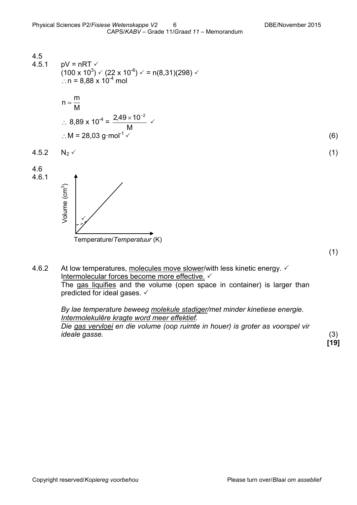4.5  
\n4.5.1 pV = nRT √  
\n
$$
(100 \times 10^3) \times (22 \times 10^{-6}) \times = n(8,31)(298) \times
$$
\n
$$
\therefore n = 8,88 \times 10^{-4} \text{ mol}
$$

n = 
$$
\frac{m}{M}
$$
  
\n∴ 8,89 x 10<sup>-4</sup> =  $\frac{2,49 \times 10^{-2}}{M}$   
\n∴ M = 28,03 g·mol<sup>-1</sup>  $\checkmark$  (6)

Temperature/*Temperatuur* (K)

✓

Volume (cm3 Volume (cm<sup>3</sup>)

$$
4.5.2 \tN_2 \t(1)
$$







4.6.2 At low temperatures, molecules move slower/with less kinetic energy.  $\checkmark$ Intermolecular forces become more effective. The gas liquifies and the volume (open space in container) is larger than predicted for ideal gases.

> *By lae temperature beweeg molekule stadiger/met minder kinetiese energie. Intermolekulêre kragte word meer effektief.*

*Die gas vervloei en die volume (oop ruimte in houer) is groter as voorspel vir ideale gasse.* (3)

**[19]**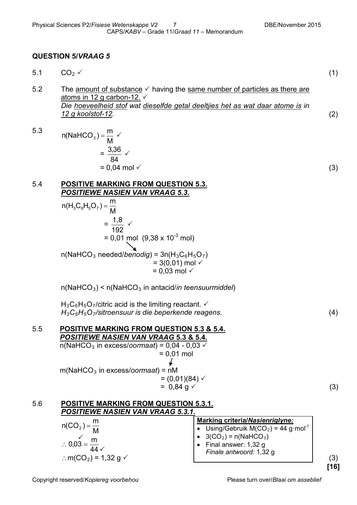### **QUESTION 5/***VRAAG 5*

- 5.1  $CO_2 \vee$  (1)
- 5.2 The amount of substance  $\checkmark$  having the same number of particles as there are atoms in 12 g carbon-12. *Die hoeveelheid stof wat dieselfde getal deeltjies het as wat daar atome is in 12 g koolstof-12.* (2)
- 5.3 M  $n(NaHCO<sub>3</sub>) = \frac{m}{M}$   $\checkmark$ = 84  $\frac{3,36}{\sim}$   $\checkmark$  $= 0.04$  mol  $\checkmark$  (3)
- 5.4 **POSITIVE MARKING FROM QUESTION 5.3.** *POSITIEWE NASIEN VAN VRAAG 5.3.*
	- $n(H_3C_6H_5O_7) = \frac{m}{M}$  = 192  $\frac{1,8}{100}$   $\checkmark$  $= 0.01$  mol  $(9.38 \times 10^{-3}$  mol)  $n(NaHCO<sub>3</sub> needed/benodig) = 3n(H<sub>3</sub>C<sub>6</sub>H<sub>5</sub>O<sub>7</sub>)$  $= 3(0,01)$  mol  $\checkmark$  $= 0.03$  mol  $\checkmark$

n(NaHCO3) < n(NaHCO3 in antacid/*in teensuurmiddel*)

 $H_3C_6H_5O_7$ /citric acid is the limiting reactant.  $\checkmark$ *H3C6H5O7/sitroensuur is die beperkende reagens.* (4)

5.5 **POSITIVE MARKING FROM QUESTION 5.3 & 5.4.** *POSITIEWE NASIEN VAN VRAAG* **5.3 & 5.4.**  $n(NaHCO<sub>3</sub> in excess/normal) = 0.04 - 0.03$  $= 0,01$  mol m(NaHCO3 in excess/*oormaat*) = nM  $= (0,01)(84)$   $\checkmark$  $= 0.84 \text{ g} \checkmark$  (3)

|                                                        | <b>Marking criteria/Nasienriglyne:</b>          |
|--------------------------------------------------------|-------------------------------------------------|
| $n(CO_2) = \frac{m}{M}$                                | Using/Gebruik $M(CO2) = 44$ g·mol <sup>-1</sup> |
|                                                        | • $3(CO_2) = n(NaHCO_3)$                        |
| $\therefore 0.03 = \frac{m}{44}$                       | Final answer: 1,32 g                            |
| $\therefore$ m(CO <sub>2</sub> ) = 1,32 g $\checkmark$ | Finale antwoord: 1,32 g                         |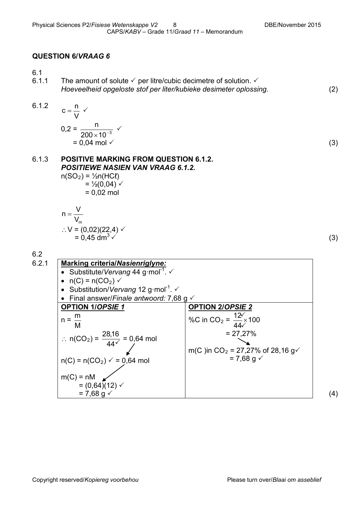### **QUESTION 6/***VRAAG 6*

 $6.1$ <br> $6.1.1$ The amount of solute  $\checkmark$  per litre/cubic decimetre of solution.  $\checkmark$ *Hoeveelheid opgeloste stof per liter/kubieke desimeter oplossing.* (2)

6.1.2 
$$
c = \frac{n}{V}
$$
   
0.2 =  $\frac{n}{200 \times 10^{-3}}$ 

 $\times$  10 $^{-}$  $= 0.04$  mol  $\checkmark$  (3)

### 6.1.3 **POSITIVE MARKING FROM QUESTION 6.1.2.** *POSITIEWE NASIEN VAN VRAAG 6.1.2.*

 $\checkmark$ 

 $n(SO_2) = \frac{1}{2}n(HCl)$  $=$  1/<sub>2</sub>(0,04)  $\checkmark$  $= 0,02$  mol

n = 
$$
\frac{V}{V_m}
$$
  
\n∴ V = (0,02)(22,4)   
\n= 0,45 dm<sup>3</sup> (3)

6.2



(4)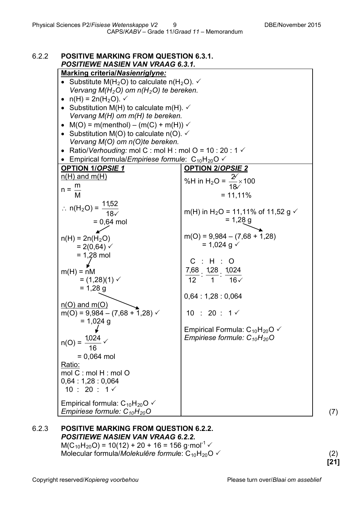| 6.2.2 | <b>POSITIVE MARKING FROM QUESTION 6.3.1.</b><br><b>POSITIEWE NASIEN VAN VRAAG 6.3.1.</b> |                                                                                     |
|-------|------------------------------------------------------------------------------------------|-------------------------------------------------------------------------------------|
|       | <b>Marking criteria/Nasienriglyne:</b>                                                   |                                                                                     |
|       | • Substitute M(H <sub>2</sub> O) to calculate n(H <sub>2</sub> O). $\checkmark$          |                                                                                     |
|       | Vervang $M(H_2O)$ om $n(H_2O)$ te bereken.                                               |                                                                                     |
|       | • $n(H) = 2n(H_2O)$ .                                                                    |                                                                                     |
|       | • Substitution M(H) to calculate m(H). $\checkmark$                                      |                                                                                     |
|       | Vervang M(H) om m(H) te bereken.                                                         |                                                                                     |
|       | • $M(O) = m(menthol) - (m(C) + m(H)) \vee$                                               |                                                                                     |
|       | • Substitution M(O) to calculate $n(O)$ .                                                |                                                                                     |
|       | Vervang M(O) om n(O)te bereken.                                                          |                                                                                     |
|       | • Ratio/Verhouding: mol C : mol H : mol O = 10 : 20 : 1 $\checkmark$                     |                                                                                     |
|       | • Empirical formula/ <i>Empiriese formule</i> : $C_{10}H_{20}O \checkmark$               |                                                                                     |
|       | <b>OPTION 1/OPSIE 1</b>                                                                  | <b>OPTION 2/OPSIE 2</b>                                                             |
|       | $n(H)$ and $m(H)$                                                                        | %H in H <sub>2</sub> O = $\frac{2}{18}$ × 100                                       |
|       | $n = \frac{m}{n}$                                                                        |                                                                                     |
|       | M                                                                                        | $= 11,11\%$                                                                         |
|       | $\therefore n(H_2O) = \frac{11,52}{18}$                                                  |                                                                                     |
|       |                                                                                          | m(H) in H <sub>2</sub> O = 11,11% of 11,52 g $\checkmark$                           |
|       | $= 0,64$ mol                                                                             | $= 1,28$ g                                                                          |
|       |                                                                                          | $m(O) = 9,984 - (7,68 + 1,28)$                                                      |
|       | $n(H) = 2n(H_2O)$<br>$= 2(0,64)$ $\checkmark$                                            | $= 1,024$ g $\checkmark$                                                            |
|       | $= 1,28$ mol                                                                             |                                                                                     |
|       |                                                                                          | $C$ : H : O                                                                         |
|       | $m(H) = nM$                                                                              | 7,68 1,28 1,024                                                                     |
|       | $= (1,28)(1)$ $\checkmark$                                                               | 12<br>$1 \qquad 16\checkmark$                                                       |
|       | $= 1,28$ g                                                                               |                                                                                     |
|       |                                                                                          | 0,64:1,28:0,064                                                                     |
|       | $n(O)$ and $m(O)$                                                                        |                                                                                     |
|       | $m(O) = 9,984 - (7,68 + 1,28)$                                                           | $10 : 20 : 1 \checkmark$                                                            |
|       | $= 1,024$ g                                                                              |                                                                                     |
|       |                                                                                          | Empirical Formula: $C_{10}H_{20}O \checkmark$<br>Empiriese formule: $C_{10}H_{20}O$ |
|       | $n(O) = \frac{1,024}{ }$ $\checkmark$                                                    |                                                                                     |
|       | $= 0,064$ mol                                                                            |                                                                                     |
|       | Ratio:                                                                                   |                                                                                     |
|       | mol C: mol H: mol O                                                                      |                                                                                     |
|       | 0,64:1,28:0,064                                                                          |                                                                                     |
|       | $10:20:1 \checkmark$                                                                     |                                                                                     |
|       |                                                                                          |                                                                                     |
|       | Empirical formula: $C_{10}H_{20}O \checkmark$                                            |                                                                                     |
|       | Empiriese formule: $C_{10}H_{20}O$                                                       |                                                                                     |

## 6.2.3 **POSITIVE MARKING FROM QUESTION 6.2.2.** *POSITIEWE NASIEN VAN VRAAG 6.2.2.*

 $M(C_{10}H_{20}O) = 10(12) + 20 + 16 = 156$  g·mol<sup>-1</sup>  $\checkmark$ Molecular formula/*Molekulêre formule*:  $C_{10}H_{20}O \checkmark$  (2)

**[21]**

(7)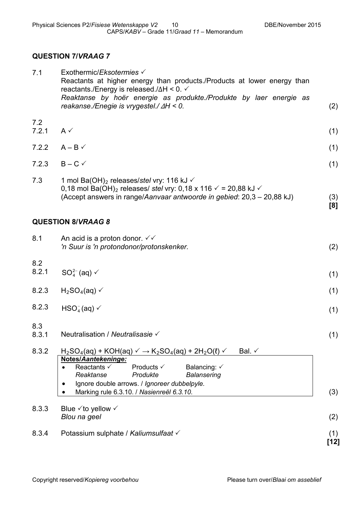(1)

**[8]**

### **QUESTION 7/***VRAAG 7*

| 7.1 | Exothermic/Eksotermies $\checkmark$                                     |     |
|-----|-------------------------------------------------------------------------|-----|
|     | Reactants at higher energy than products./Products at lower energy than |     |
|     | reactants./Energy is released./ $\Delta H < 0$ .                        |     |
|     | Reaktanse by hoër energie as produkte./Produkte by laer energie as      |     |
|     | reakanse./Enegie is vrygestel./ $\Delta H < 0$ .                        | (2) |

- 7.2 7.2.1  $A \checkmark$ (1)
- 7.2.2  $A B \checkmark$
- 7.2.3  $B C \checkmark$ (1)
- 7.3 1 mol Ba(OH)<sub>2</sub> releases/*stel* vry: 116 kJ  $\checkmark$ 0,18 mol Ba(OH)<sub>2</sub> releases/ *stel* vry: 0,18 x 116  $\checkmark$  = 20,88 kJ  $\checkmark$ (Accept answers in range/*Aanvaar antwoorde in gebied*: 20,3 – 20,88 kJ) (3)

### **QUESTION 8/***VRAAG 8*

| 8.1          | An acid is a proton donor. $\checkmark\checkmark$<br>'n Suur is 'n protondonor/protonskenker.                                                                                                                                                                                                                                                                                                                      | (2)           |
|--------------|--------------------------------------------------------------------------------------------------------------------------------------------------------------------------------------------------------------------------------------------------------------------------------------------------------------------------------------------------------------------------------------------------------------------|---------------|
| 8.2<br>8.2.1 | $SO_{4}^{2-}$ (aq) $\checkmark$                                                                                                                                                                                                                                                                                                                                                                                    | (1)           |
| 8.2.3        | $H2SO4(aq)$ $\checkmark$                                                                                                                                                                                                                                                                                                                                                                                           | (1)           |
| 8.2.3        | $HSO4(aq) \checkmark$                                                                                                                                                                                                                                                                                                                                                                                              | (1)           |
| 8.3<br>8.3.1 | Neutralisation / Neutralisasie $\checkmark$                                                                                                                                                                                                                                                                                                                                                                        | (1)           |
| 8.3.2        | Bal. $\checkmark$<br>$H_2SO_4(aq)$ + KOH(aq) $\checkmark$ $\rightarrow$ K <sub>2</sub> SO <sub>4</sub> (aq) + 2H <sub>2</sub> O(l) $\checkmark$<br>Notes/Aantekeninge:<br>Reactants $\checkmark$<br>Products $\checkmark$<br>Balancing: $\checkmark$<br>Reaktanse<br>Produkte<br><b>Balansering</b><br>Ignore double arrows. / Ignoreer dubbelpyle.<br>٠<br>Marking rule 6.3.10. / Nasienreël 6.3.10.<br>$\bullet$ | (3)           |
| 8.3.3        | Blue $\checkmark$ to yellow $\checkmark$<br>Blou na geel                                                                                                                                                                                                                                                                                                                                                           | (2)           |
| 8.3.4        | Potassium sulphate / Kaliumsulfaat √                                                                                                                                                                                                                                                                                                                                                                               | (1)<br>$[12]$ |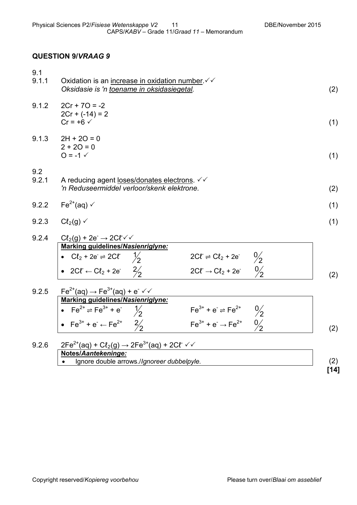### **QUESTION 9/***VRAAG 9*

| 9.1<br>9.1.1 | Oxidation is an increase in oxidation number √<br>Oksidasie is 'n toename in oksidasiegetal.                                                                                                                                                                                                                                                                                  | (2) |
|--------------|-------------------------------------------------------------------------------------------------------------------------------------------------------------------------------------------------------------------------------------------------------------------------------------------------------------------------------------------------------------------------------|-----|
| 9.1.2        | $2Cr + 7O = -2$<br>$2Cr + (-14) = 2$<br>$Cr = +6$ $\checkmark$                                                                                                                                                                                                                                                                                                                | (1) |
| 9.1.3        | $2H + 2O = 0$<br>$2 + 20 = 0$<br>$Q = -1$ $\checkmark$                                                                                                                                                                                                                                                                                                                        | (1) |
| 9.2<br>9.2.1 | A reducing agent loses/donates electrons. $\checkmark\checkmark$<br>'n Reduseermiddel verloor/skenk elektrone.                                                                                                                                                                                                                                                                | (2) |
| 9.2.2        | Fe <sup>2+</sup> (aq) $\checkmark$                                                                                                                                                                                                                                                                                                                                            | (1) |
| 9.2.3        | $Cl2(g)$ $\checkmark$                                                                                                                                                                                                                                                                                                                                                         | (1) |
| 9.2.4        | $Cl2(g) + 2e^- \rightarrow 2Cf \checkmark$<br>Marking guidelines/Nasienriglyne:<br>$2C\ell \rightleftharpoons C\ell_2 + 2e^ \frac{0}{2}$<br>• $Cl_2 + 2e \rightleftharpoons 2Cf$ $\frac{1}{2}$<br>$\frac{0}{2}$<br>• 2C $t \leftarrow C l_2 + 2e^2$ $\frac{2}{2}$<br>$2C\ell \rightarrow C\ell_2 + 2e^{-}$                                                                    | (2) |
| 9.2.5        | $Fe^{2+}(aq) \rightarrow Fe^{3+}(aq) + e^{-}\sqrt{2}$<br>Marking guidelines/Nasienriglyne:<br>• Fe <sup>2+</sup> $\Rightarrow$ Fe <sup>3+</sup> + e <sup>-</sup> $\frac{1}{2}$<br>$Fe^{3+} + e^- \rightleftharpoons Fe^{2+}$<br>$\frac{0}{2}$<br>$Fe^{3+} + e^- \rightarrow Fe^{2+}$ $0/2$<br>• Fe <sup>3+</sup> + e <sup>-</sup> $\leftarrow$ Fe <sup>2+</sup> $\frac{2}{2}$ | (2) |
| 9.2.6        | $2Fe^{2+}(aq) + C\ell_2(g) \rightarrow 2Fe^{3+}(aq) + 2C\ell \ \ \sqrt{g}$<br>Notes/Aantekeninge:<br>Ignore double arrows./Ignoreer dubbelpyle.                                                                                                                                                                                                                               | (2) |